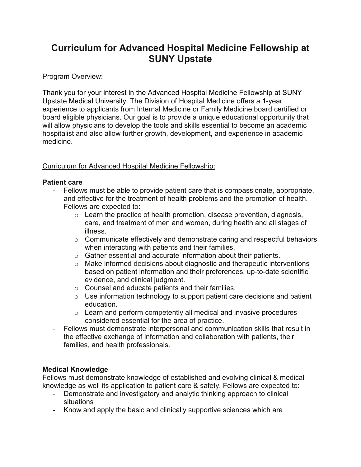# **Curriculum for Advanced Hospital Medicine Fellowship at SUNY Upstate**

## Program Overview:

Thank you for your interest in the Advanced Hospital Medicine Fellowship at SUNY Upstate Medical University. The Division of Hospital Medicine offers a 1-year experience to applicants from Internal Medicine or Family Medicine board certified or board eligible physicians. Our goal is to provide a unique educational opportunity that will allow physicians to develop the tools and skills essential to become an academic hospitalist and also allow further growth, development, and experience in academic medicine.

## Curriculum for Advanced Hospital Medicine Fellowship:

#### **Patient care**

- Fellows must be able to provide patient care that is compassionate, appropriate, and effective for the treatment of health problems and the promotion of health. Fellows are expected to:
	- $\circ$  Learn the practice of health promotion, disease prevention, diagnosis, care, and treatment of men and women, during health and all stages of illness.
	- o Communicate effectively and demonstrate caring and respectful behaviors when interacting with patients and their families.
	- o Gather essential and accurate information about their patients.
	- o Make informed decisions about diagnostic and therapeutic interventions based on patient information and their preferences, up-to-date scientific evidence, and clinical judgment.
	- o Counsel and educate patients and their families.
	- $\circ$  Use information technology to support patient care decisions and patient education.
	- $\circ$  Learn and perform competently all medical and invasive procedures considered essential for the area of practice.
- Fellows must demonstrate interpersonal and communication skills that result in the effective exchange of information and collaboration with patients, their families, and health professionals.

## **Medical Knowledge**

Fellows must demonstrate knowledge of established and evolving clinical & medical knowledge as well its application to patient care & safety. Fellows are expected to:

- Demonstrate and investigatory and analytic thinking approach to clinical situations
- Know and apply the basic and clinically supportive sciences which are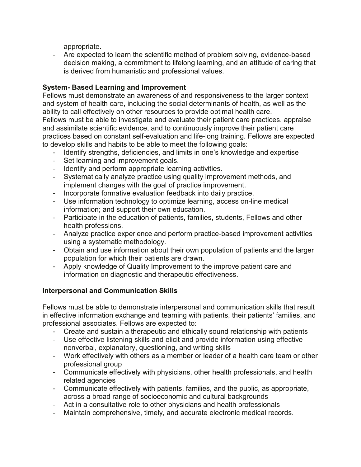appropriate.

- Are expected to learn the scientific method of problem solving, evidence-based decision making, a commitment to lifelong learning, and an attitude of caring that is derived from humanistic and professional values.

# **System- Based Learning and Improvement**

Fellows must demonstrate an awareness of and responsiveness to the larger context and system of health care, including the social determinants of health, as well as the ability to call effectively on other resources to provide optimal health care.

Fellows must be able to investigate and evaluate their patient care practices, appraise and assimilate scientific evidence, and to continuously improve their patient care practices based on constant self-evaluation and life-long training. Fellows are expected to develop skills and habits to be able to meet the following goals:

- Identify strengths, deficiencies, and limits in one's knowledge and expertise
- Set learning and improvement goals.
- Identify and perform appropriate learning activities.
- Systematically analyze practice using quality improvement methods, and implement changes with the goal of practice improvement.
- Incorporate formative evaluation feedback into daily practice.
- Use information technology to optimize learning, access on-line medical information; and support their own education.
- Participate in the education of patients, families, students, Fellows and other health professions.
- Analyze practice experience and perform practice-based improvement activities using a systematic methodology.
- Obtain and use information about their own population of patients and the larger population for which their patients are drawn.
- Apply knowledge of Quality Improvement to the improve patient care and information on diagnostic and therapeutic effectiveness.

## **Interpersonal and Communication Skills**

Fellows must be able to demonstrate interpersonal and communication skills that result in effective information exchange and teaming with patients, their patients' families, and professional associates. Fellows are expected to:

- Create and sustain a therapeutic and ethically sound relationship with patients
- Use effective listening skills and elicit and provide information using effective nonverbal, explanatory, questioning, and writing skills
- Work effectively with others as a member or leader of a health care team or other professional group
- Communicate effectively with physicians, other health professionals, and health related agencies
- Communicate effectively with patients, families, and the public, as appropriate, across a broad range of socioeconomic and cultural backgrounds
- Act in a consultative role to other physicians and health professionals
- Maintain comprehensive, timely, and accurate electronic medical records.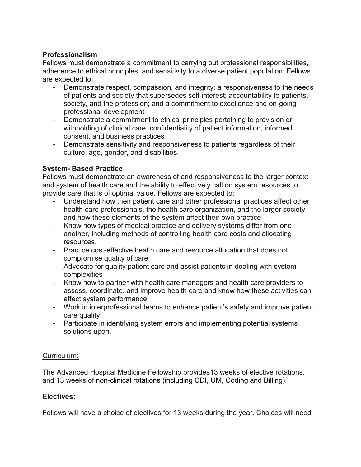## **Professionalism**

Fellows must demonstrate a commitment to carrying out professional responsibilities, adherence to ethical principles, and sensitivity to a diverse patient population. Fellows are expected to:

- Demonstrate respect, compassion, and integrity; a responsiveness to the needs of patients and society that supersedes self-interest; accountability to patients, society, and the profession; and a commitment to excellence and on-going professional development
- Demonstrate a commitment to ethical principles pertaining to provision or withholding of clinical care, confidentiality of patient information, informed consent, and business practices
- Demonstrate sensitivity and responsiveness to patients regardless of their culture, age, gender, and disabilities.

## **System- Based Practice**

Fellows must demonstrate an awareness of and responsiveness to the larger context and system of health care and the ability to effectively call on system resources to provide care that is of optimal value. Fellows are expected to:

- Understand how their patient care and other professional practices affect other health care professionals, the health care organization, and the larger society and how these elements of the system affect their own practice
- Know how types of medical practice and delivery systems differ from one another, including methods of controlling health care costs and allocating resources.
- Practice cost-effective health care and resource allocation that does not compromise quality of care
- Advocate for quality patient care and assist patients in dealing with system complexities
- Know how to partner with health care managers and health care providers to assess, coordinate, and improve health care and know how these activities can affect system performance
- Work in interprofessional teams to enhance patient's safety and improve patient care quality
- Participate in identifying system errors and implementing potential systems solutions upon.

#### Curriculum:

The Advanced Hospital Medicine Fellowship provides13 weeks of elective rotations, and 13 weeks of non-clinical rotations (including CDI, UM, Coding and Billing).

## **Electives:**

Fellows will have a choice of electives for 13 weeks during the year. Choices will need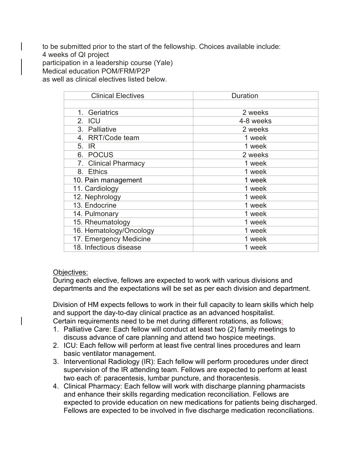to be submitted prior to the start of the fellowship. Choices available include: 4 weeks of QI project participation in a leadership course (Yale) Medical education POM/FRM/P2P as well as clinical electives listed below.

| <b>Clinical Electives</b> | <b>Duration</b> |  |  |
|---------------------------|-----------------|--|--|
|                           |                 |  |  |
| 1. Geriatrics             | 2 weeks         |  |  |
| 2. ICU                    | 4-8 weeks       |  |  |
| 3. Palliative             | 2 weeks         |  |  |
| 4. RRT/Code team          | 1 week          |  |  |
| 5. IR                     | 1 week          |  |  |
| 6. POCUS                  | 2 weeks         |  |  |
| 7. Clinical Pharmacy      | 1 week          |  |  |
| 8. Ethics                 | 1 week          |  |  |
| 10. Pain management       | 1 week          |  |  |
| 11. Cardiology            | 1 week          |  |  |
| 12. Nephrology            | 1 week          |  |  |
| 13. Endocrine             | 1 week          |  |  |
| 14. Pulmonary             | 1 week          |  |  |
| 15. Rheumatology          | 1 week          |  |  |
| 16. Hematology/Oncology   | 1 week          |  |  |
| 17. Emergency Medicine    | 1 week          |  |  |
| 18. Infectious disease    | 1 week          |  |  |

#### Objectives:

During each elective, fellows are expected to work with various divisions and departments and the expectations will be set as per each division and department.

Division of HM expects fellows to work in their full capacity to learn skills which help and support the day-to-day clinical practice as an advanced hospitalist. Certain requirements need to be met during different rotations, as follows:

- 1. Palliative Care: Each fellow will conduct at least two (2) family meetings to discuss advance of care planning and attend two hospice meetings.
- 2. ICU: Each fellow will perform at least five central lines procedures and learn basic ventilator management.
- 3. Interventional Radiology (IR): Each fellow will perform procedures under direct supervision of the IR attending team. Fellows are expected to perform at least two each of: paracentesis, lumbar puncture, and thoracentesis.
- 4. Clinical Pharmacy: Each fellow will work with discharge planning pharmacists and enhance their skills regarding medication reconciliation. Fellows are expected to provide education on new medications for patients being discharged. Fellows are expected to be involved in five discharge medication reconciliations.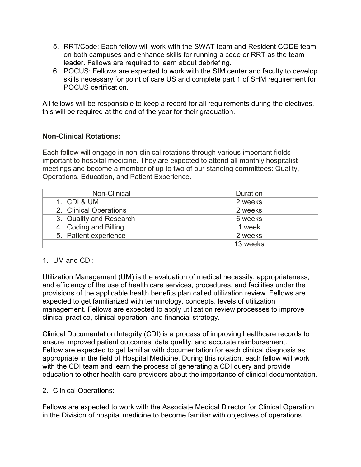- 5. RRT/Code: Each fellow will work with the SWAT team and Resident CODE team on both campuses and enhance skills for running a code or RRT as the team leader. Fellows are required to learn about debriefing.
- 6. POCUS: Fellows are expected to work with the SIM center and faculty to develop skills necessary for point of care US and complete part 1 of SHM requirement for POCUS certification.

All fellows will be responsible to keep a record for all requirements during the electives, this will be required at the end of the year for their graduation.

## **Non-Clinical Rotations:**

Each fellow will engage in non-clinical rotations through various important fields important to hospital medicine. They are expected to attend all monthly hospitalist meetings and become a member of up to two of our standing committees: Quality, Operations, Education, and Patient Experience.

| Non-Clinical            | <b>Duration</b> |  |
|-------------------------|-----------------|--|
| 1. CDI & UM             | 2 weeks         |  |
| 2. Clinical Operations  | 2 weeks         |  |
| 3. Quality and Research | 6 weeks         |  |
| 4. Coding and Billing   | 1 week          |  |
| 5. Patient experience   | 2 weeks         |  |
|                         | 13 weeks        |  |

#### 1. UM and CDI:

Utilization Management (UM) is the evaluation of medical necessity, appropriateness, and efficiency of the use of health care services, procedures, and facilities under the provisions of the applicable health benefits plan called utilization review. Fellows are expected to get familiarized with terminology, concepts, levels of utilization management. Fellows are expected to apply utilization review processes to improve clinical practice, clinical operation, and financial strategy.

Clinical Documentation Integrity (CDI) is a process of improving healthcare records to ensure improved patient outcomes, data quality, and accurate reimbursement. Fellow are expected to get familiar with documentation for each clinical diagnosis as appropriate in the field of Hospital Medicine. During this rotation, each fellow will work with the CDI team and learn the process of generating a CDI query and provide education to other health-care providers about the importance of clinical documentation.

#### 2. Clinical Operations:

Fellows are expected to work with the Associate Medical Director for Clinical Operation in the Division of hospital medicine to become familiar with objectives of operations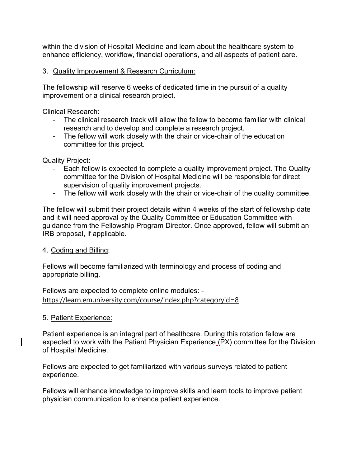within the division of Hospital Medicine and learn about the healthcare system to enhance efficiency, workflow, financial operations, and all aspects of patient care.

#### 3. Quality Improvement & Research Curriculum:

The fellowship will reserve 6 weeks of dedicated time in the pursuit of a quality improvement or a clinical research project.

Clinical Research:

- The clinical research track will allow the fellow to become familiar with clinical research and to develop and complete a research project.
- The fellow will work closely with the chair or vice-chair of the education committee for this project.

Quality Project:

- Each fellow is expected to complete a quality improvement project. The Quality committee for the Division of Hospital Medicine will be responsible for direct supervision of quality improvement projects.
- The fellow will work closely with the chair or vice-chair of the quality committee.

The fellow will submit their project details within 4 weeks of the start of fellowship date and it will need approval by the Quality Committee or Education Committee with guidance from the Fellowship Program Director. Once approved, fellow will submit an IRB proposal, if applicable.

#### 4. Coding and Billing:

Fellows will become familiarized with terminology and process of coding and appropriate billing.

Fellows are expected to complete online modules: <https://learn.emuniversity.com/course/index.php?categoryid=8>

#### 5. Patient Experience:

Patient experience is an integral part of healthcare. During this rotation fellow are expected to work with the Patient Physician Experience (PX) committee for the Division of Hospital Medicine.

Fellows are expected to get familiarized with various surveys related to patient experience.

Fellows will enhance knowledge to improve skills and learn tools to improve patient physician communication to enhance patient experience.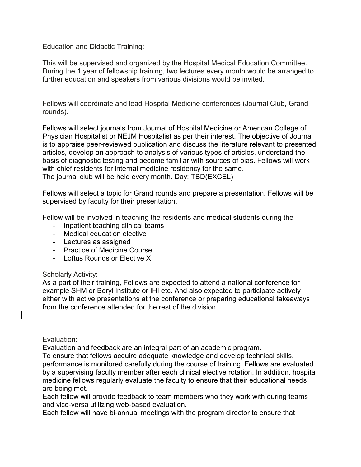#### Education and Didactic Training:

This will be supervised and organized by the Hospital Medical Education Committee. During the 1 year of fellowship training, two lectures every month would be arranged to further education and speakers from various divisions would be invited.

Fellows will coordinate and lead Hospital Medicine conferences (Journal Club, Grand rounds).

Fellows will select journals from Journal of Hospital Medicine or American College of Physician Hospitalist or NEJM Hospitalist as per their interest. The objective of Journal is to appraise peer-reviewed publication and discuss the literature relevant to presented articles, develop an approach to analysis of various types of articles, understand the basis of diagnostic testing and become familiar with sources of bias. Fellows will work with chief residents for internal medicine residency for the same. The journal club will be held every month. Day: TBD(EXCEL)

Fellows will select a topic for Grand rounds and prepare a presentation. Fellows will be supervised by faculty for their presentation.

Fellow will be involved in teaching the residents and medical students during the

- Inpatient teaching clinical teams
- Medical education elective
- Lectures as assigned
- Practice of Medicine Course
- Loftus Rounds or Elective X

#### Scholarly Activity:

As a part of their training, Fellows are expected to attend a national conference for example SHM or Beryl Institute or IHI etc. And also expected to participate actively either with active presentations at the conference or preparing educational takeaways from the conference attended for the rest of the division.

#### Evaluation:

Evaluation and feedback are an integral part of an academic program.

To ensure that fellows acquire adequate knowledge and develop technical skills, performance is monitored carefully during the course of training. Fellows are evaluated by a supervising faculty member after each clinical elective rotation. In addition, hospital medicine fellows regularly evaluate the faculty to ensure that their educational needs are being met.

Each fellow will provide feedback to team members who they work with during teams and vice-versa utilizing web-based evaluation.

Each fellow will have bi-annual meetings with the program director to ensure that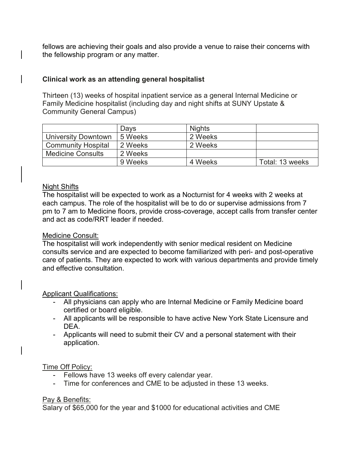fellows are achieving their goals and also provide a venue to raise their concerns with the fellowship program or any matter.

## **Clinical work as an attending general hospitalist**

Thirteen (13) weeks of hospital inpatient service as a general Internal Medicine or Family Medicine hospitalist (including day and night shifts at SUNY Upstate & Community General Campus)

|                            | Days    | <b>Nights</b> |                 |
|----------------------------|---------|---------------|-----------------|
| <b>University Downtown</b> | 5 Weeks | 2 Weeks       |                 |
| <b>Community Hospital</b>  | 2 Weeks | 2 Weeks       |                 |
| <b>Medicine Consults</b>   | 2 Weeks |               |                 |
|                            | 9 Weeks | 4 Weeks       | Total: 13 weeks |

#### Night Shifts

The hospitalist will be expected to work as a Nocturnist for 4 weeks with 2 weeks at each campus. The role of the hospitalist will be to do or supervise admissions from 7 pm to 7 am to Medicine floors, provide cross-coverage, accept calls from transfer center and act as code/RRT leader if needed.

#### Medicine Consult:

The hospitalist will work independently with senior medical resident on Medicine consults service and are expected to become familiarized with peri- and post-operative care of patients. They are expected to work with various departments and provide timely and effective consultation.

#### Applicant Qualifications:

- All physicians can apply who are Internal Medicine or Family Medicine board certified or board eligible.
- All applicants will be responsible to have active New York State Licensure and DEA.
- Applicants will need to submit their CV and a personal statement with their application.

#### Time Off Policy:

- Fellows have 13 weeks off every calendar year.
- Time for conferences and CME to be adjusted in these 13 weeks.

#### Pay & Benefits:

Salary of \$65,000 for the year and \$1000 for educational activities and CME